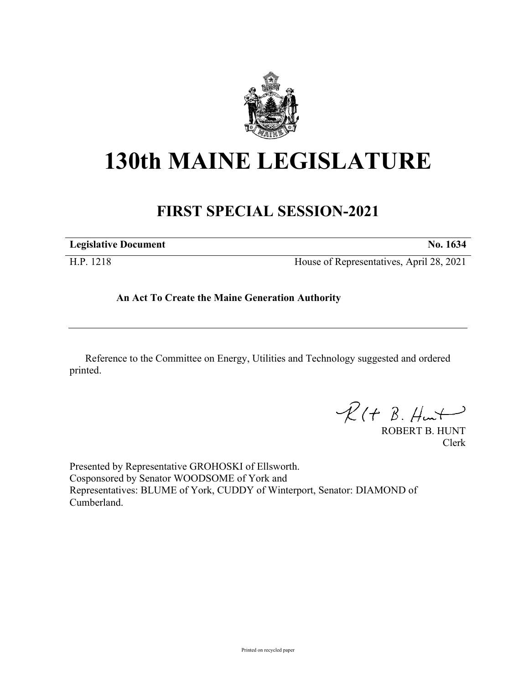

# **130th MAINE LEGISLATURE**

## **FIRST SPECIAL SESSION-2021**

| <b>Legislative Document</b> | No. 1634                                 |
|-----------------------------|------------------------------------------|
| H.P. 1218                   | House of Representatives, April 28, 2021 |

### **An Act To Create the Maine Generation Authority**

Reference to the Committee on Energy, Utilities and Technology suggested and ordered printed.

 $R(t B. Hmt)$ 

ROBERT B. HUNT Clerk

Presented by Representative GROHOSKI of Ellsworth. Cosponsored by Senator WOODSOME of York and Representatives: BLUME of York, CUDDY of Winterport, Senator: DIAMOND of Cumberland.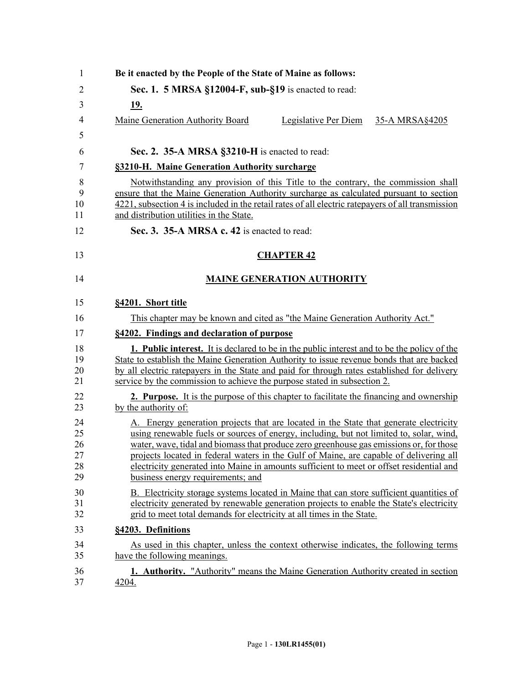| Be it enacted by the People of the State of Maine as follows:                                                                                                                                                                                                                                                                                                                                                                                                                                          |                                   |                |
|--------------------------------------------------------------------------------------------------------------------------------------------------------------------------------------------------------------------------------------------------------------------------------------------------------------------------------------------------------------------------------------------------------------------------------------------------------------------------------------------------------|-----------------------------------|----------------|
| Sec. 1. 5 MRSA §12004-F, sub-§19 is enacted to read:                                                                                                                                                                                                                                                                                                                                                                                                                                                   |                                   |                |
| <u>19.</u>                                                                                                                                                                                                                                                                                                                                                                                                                                                                                             |                                   |                |
| Maine Generation Authority Board                                                                                                                                                                                                                                                                                                                                                                                                                                                                       | Legislative Per Diem              | 35-A MRSA§4205 |
|                                                                                                                                                                                                                                                                                                                                                                                                                                                                                                        |                                   |                |
| Sec. 2. 35-A MRSA §3210-H is enacted to read:                                                                                                                                                                                                                                                                                                                                                                                                                                                          |                                   |                |
| §3210-H. Maine Generation Authority surcharge                                                                                                                                                                                                                                                                                                                                                                                                                                                          |                                   |                |
| Notwithstanding any provision of this Title to the contrary, the commission shall<br>ensure that the Maine Generation Authority surcharge as calculated pursuant to section<br>4221, subsection 4 is included in the retail rates of all electric ratepayers of all transmission<br>and distribution utilities in the State.                                                                                                                                                                           |                                   |                |
| Sec. 3. 35-A MRSA c. 42 is enacted to read:                                                                                                                                                                                                                                                                                                                                                                                                                                                            |                                   |                |
|                                                                                                                                                                                                                                                                                                                                                                                                                                                                                                        | <b>CHAPTER 42</b>                 |                |
|                                                                                                                                                                                                                                                                                                                                                                                                                                                                                                        | <b>MAINE GENERATION AUTHORITY</b> |                |
| §4201. Short title                                                                                                                                                                                                                                                                                                                                                                                                                                                                                     |                                   |                |
| This chapter may be known and cited as "the Maine Generation Authority Act."                                                                                                                                                                                                                                                                                                                                                                                                                           |                                   |                |
| §4202. Findings and declaration of purpose                                                                                                                                                                                                                                                                                                                                                                                                                                                             |                                   |                |
| 1. Public interest. It is declared to be in the public interest and to be the policy of the<br>State to establish the Maine Generation Authority to issue revenue bonds that are backed<br>by all electric ratepayers in the State and paid for through rates established for delivery<br>service by the commission to achieve the purpose stated in subsection 2.                                                                                                                                     |                                   |                |
| <b>2. Purpose.</b> It is the purpose of this chapter to facilitate the financing and ownership<br>by the authority of:                                                                                                                                                                                                                                                                                                                                                                                 |                                   |                |
| A. Energy generation projects that are located in the State that generate electricity<br>using renewable fuels or sources of energy, including, but not limited to, solar, wind,<br>water, wave, tidal and biomass that produce zero greenhouse gas emissions or, for those<br>projects located in federal waters in the Gulf of Maine, are capable of delivering all<br>electricity generated into Maine in amounts sufficient to meet or offset residential and<br>business energy requirements; and |                                   |                |
| B. Electricity storage systems located in Maine that can store sufficient quantities of<br>electricity generated by renewable generation projects to enable the State's electricity<br>grid to meet total demands for electricity at all times in the State.                                                                                                                                                                                                                                           |                                   |                |
| §4203. Definitions                                                                                                                                                                                                                                                                                                                                                                                                                                                                                     |                                   |                |
| As used in this chapter, unless the context otherwise indicates, the following terms<br>have the following meanings.                                                                                                                                                                                                                                                                                                                                                                                   |                                   |                |
| 1. Authority. "Authority" means the Maine Generation Authority created in section<br>4204.                                                                                                                                                                                                                                                                                                                                                                                                             |                                   |                |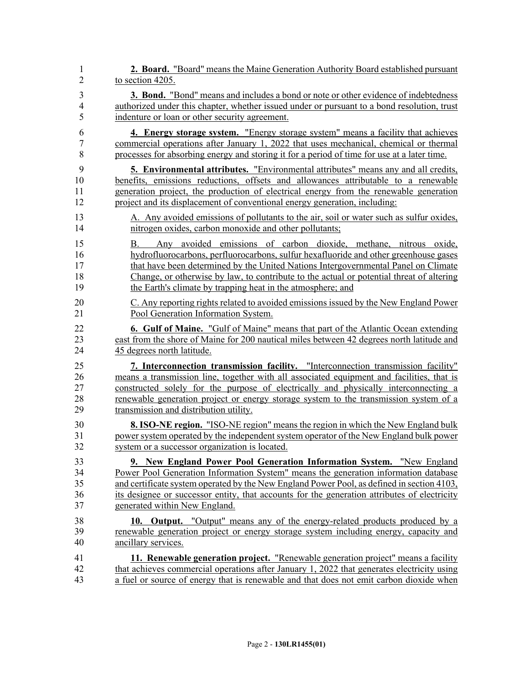| $\mathbf{1}$               | 2. Board. "Board" means the Maine Generation Authority Board established pursuant                                                                                                                                                                                                                                                                                                                                           |
|----------------------------|-----------------------------------------------------------------------------------------------------------------------------------------------------------------------------------------------------------------------------------------------------------------------------------------------------------------------------------------------------------------------------------------------------------------------------|
| $\overline{2}$             | to section 4205.                                                                                                                                                                                                                                                                                                                                                                                                            |
| 3                          | 3. Bond. "Bond" means and includes a bond or note or other evidence of indebtedness                                                                                                                                                                                                                                                                                                                                         |
| 4                          | authorized under this chapter, whether issued under or pursuant to a bond resolution, trust                                                                                                                                                                                                                                                                                                                                 |
| 5                          | indenture or loan or other security agreement.                                                                                                                                                                                                                                                                                                                                                                              |
| 6                          | 4. Energy storage system. "Energy storage system" means a facility that achieves                                                                                                                                                                                                                                                                                                                                            |
| $\tau$                     | commercial operations after January 1, 2022 that uses mechanical, chemical or thermal                                                                                                                                                                                                                                                                                                                                       |
| 8                          | processes for absorbing energy and storing it for a period of time for use at a later time.                                                                                                                                                                                                                                                                                                                                 |
| 9                          | 5. Environmental attributes. "Environmental attributes" means any and all credits,                                                                                                                                                                                                                                                                                                                                          |
| 10                         | benefits, emissions reductions, offsets and allowances attributable to a renewable                                                                                                                                                                                                                                                                                                                                          |
| 11                         | generation project, the production of electrical energy from the renewable generation                                                                                                                                                                                                                                                                                                                                       |
| 12                         | project and its displacement of conventional energy generation, including:                                                                                                                                                                                                                                                                                                                                                  |
| 13                         | A. Any avoided emissions of pollutants to the air, soil or water such as sulfur oxides,                                                                                                                                                                                                                                                                                                                                     |
| 14                         | nitrogen oxides, carbon monoxide and other pollutants;                                                                                                                                                                                                                                                                                                                                                                      |
| 15<br>16<br>17<br>18<br>19 | Any avoided emissions of carbon dioxide, methane, nitrous oxide,<br>$\mathbf{B}$ .<br>hydrofluorocarbons, perfluorocarbons, sulfur hexafluoride and other greenhouse gases<br>that have been determined by the United Nations Intergovernmental Panel on Climate<br>Change, or otherwise by law, to contribute to the actual or potential threat of altering<br>the Earth's climate by trapping heat in the atmosphere; and |
| 20                         | C. Any reporting rights related to avoided emissions issued by the New England Power                                                                                                                                                                                                                                                                                                                                        |
| 21                         | Pool Generation Information System.                                                                                                                                                                                                                                                                                                                                                                                         |
| 22                         | <b>6. Gulf of Maine.</b> "Gulf of Maine" means that part of the Atlantic Ocean extending                                                                                                                                                                                                                                                                                                                                    |
| 23                         | east from the shore of Maine for 200 nautical miles between 42 degrees north latitude and                                                                                                                                                                                                                                                                                                                                   |
| 24                         | 45 degrees north latitude.                                                                                                                                                                                                                                                                                                                                                                                                  |
| 25                         | 7. Interconnection transmission facility. "Interconnection transmission facility"                                                                                                                                                                                                                                                                                                                                           |
| 26                         | means a transmission line, together with all associated equipment and facilities, that is                                                                                                                                                                                                                                                                                                                                   |
| 27                         | constructed solely for the purpose of electrically and physically interconnecting a                                                                                                                                                                                                                                                                                                                                         |
| 28                         | renewable generation project or energy storage system to the transmission system of a                                                                                                                                                                                                                                                                                                                                       |
| 29                         | transmission and distribution utility.                                                                                                                                                                                                                                                                                                                                                                                      |
| 30                         | <b>8. ISO-NE region.</b> "ISO-NE region" means the region in which the New England bulk                                                                                                                                                                                                                                                                                                                                     |
| 31                         | power system operated by the independent system operator of the New England bulk power                                                                                                                                                                                                                                                                                                                                      |
| 32                         | system or a successor organization is located.                                                                                                                                                                                                                                                                                                                                                                              |
| 33                         | 9. New England Power Pool Generation Information System. "New England                                                                                                                                                                                                                                                                                                                                                       |
| 34                         | Power Pool Generation Information System" means the generation information database                                                                                                                                                                                                                                                                                                                                         |
| 35                         | and certificate system operated by the New England Power Pool, as defined in section 4103,                                                                                                                                                                                                                                                                                                                                  |
| 36                         | its designee or successor entity, that accounts for the generation attributes of electricity                                                                                                                                                                                                                                                                                                                                |
| 37                         | generated within New England.                                                                                                                                                                                                                                                                                                                                                                                               |
| 38                         | <b>10. Output.</b> "Output" means any of the energy-related products produced by a                                                                                                                                                                                                                                                                                                                                          |
| 39                         | renewable generation project or energy storage system including energy, capacity and                                                                                                                                                                                                                                                                                                                                        |
| 40                         | ancillary services.                                                                                                                                                                                                                                                                                                                                                                                                         |
| 41                         | 11. Renewable generation project. "Renewable generation project" means a facility                                                                                                                                                                                                                                                                                                                                           |
| 42                         | that achieves commercial operations after January 1, 2022 that generates electricity using                                                                                                                                                                                                                                                                                                                                  |
| 43                         | a fuel or source of energy that is renewable and that does not emit carbon dioxide when                                                                                                                                                                                                                                                                                                                                     |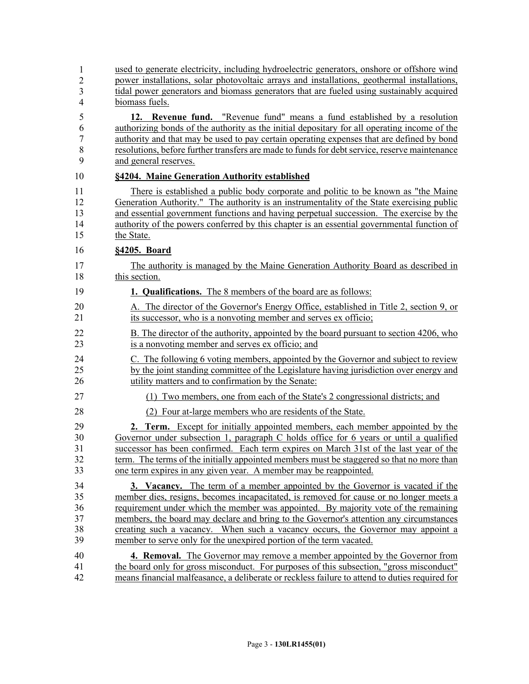| 1              | used to generate electricity, including hydroelectric generators, onshore or offshore wind     |
|----------------|------------------------------------------------------------------------------------------------|
| 2              | power installations, solar photovoltaic arrays and installations, geothermal installations,    |
| 3              | tidal power generators and biomass generators that are fueled using sustainably acquired       |
| $\overline{4}$ | biomass fuels.                                                                                 |
| 5              | 12. Revenue fund. "Revenue fund" means a fund established by a resolution                      |
| 6              | authorizing bonds of the authority as the initial depositary for all operating income of the   |
| $\overline{7}$ | authority and that may be used to pay certain operating expenses that are defined by bond      |
| 8              | resolutions, before further transfers are made to funds for debt service, reserve maintenance  |
| 9              | and general reserves.                                                                          |
| 10             | §4204. Maine Generation Authority established                                                  |
| 11             | There is established a public body corporate and politic to be known as "the Maine"            |
| 12             | Generation Authority." The authority is an instrumentality of the State exercising public      |
| 13             | and essential government functions and having perpetual succession. The exercise by the        |
| 14             | authority of the powers conferred by this chapter is an essential governmental function of     |
| 15             | the State.                                                                                     |
| 16             | §4205. Board                                                                                   |
| 17             | The authority is managed by the Maine Generation Authority Board as described in               |
| 18             | this section.                                                                                  |
| 19             | 1. Qualifications. The 8 members of the board are as follows:                                  |
| 20             | A. The director of the Governor's Energy Office, established in Title 2, section 9, or         |
| 21             | its successor, who is a nonvoting member and serves ex officio;                                |
| 22             | B. The director of the authority, appointed by the board pursuant to section 4206, who         |
| 23             | is a nonvoting member and serves ex officio; and                                               |
| 24             | C. The following 6 voting members, appointed by the Governor and subject to review             |
| 25             | by the joint standing committee of the Legislature having jurisdiction over energy and         |
| 26             | utility matters and to confirmation by the Senate:                                             |
| 27             | (1) Two members, one from each of the State's 2 congressional districts; and                   |
| 28             | (2) Four at-large members who are residents of the State.                                      |
| 29             | <b>2. Term.</b> Except for initially appointed members, each member appointed by the           |
| 30             | Governor under subsection 1, paragraph C holds office for 6 years or until a qualified         |
| 31             | successor has been confirmed. Each term expires on March 31st of the last year of the          |
| 32             | term. The terms of the initially appointed members must be staggered so that no more than      |
| 33             | one term expires in any given year. A member may be reappointed.                               |
| 34             | <b>3. Vacancy.</b> The term of a member appointed by the Governor is vacated if the            |
| 35             | member dies, resigns, becomes incapacitated, is removed for cause or no longer meets a         |
| 36             | requirement under which the member was appointed. By majority vote of the remaining            |
| 37             | members, the board may declare and bring to the Governor's attention any circumstances         |
| 38             | creating such a vacancy. When such a vacancy occurs, the Governor may appoint a                |
| 39             | member to serve only for the unexpired portion of the term vacated.                            |
| 40             | <b>4. Removal.</b> The Governor may remove a member appointed by the Governor from             |
| 41             | the board only for gross misconduct. For purposes of this subsection, "gross misconduct"       |
| 42             | means financial malfeasance, a deliberate or reckless failure to attend to duties required for |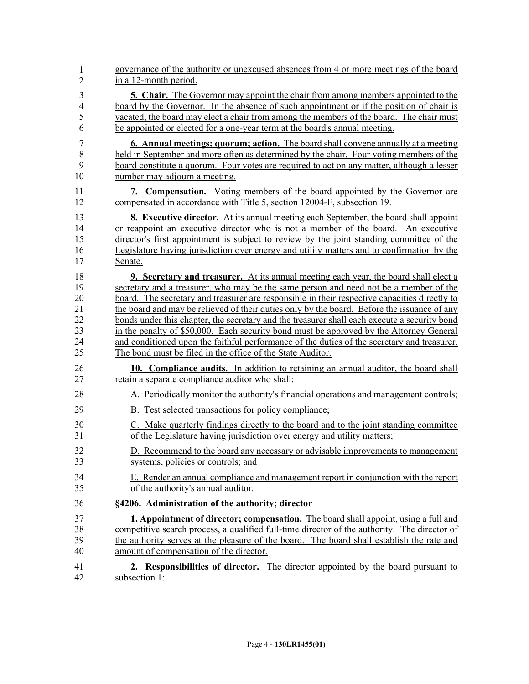| $\mathbf{1}$   | governance of the authority or unexcused absences from 4 or more meetings of the board        |
|----------------|-----------------------------------------------------------------------------------------------|
| $\overline{2}$ | in a 12-month period.                                                                         |
| 3              | <b>5. Chair.</b> The Governor may appoint the chair from among members appointed to the       |
| $\overline{4}$ | board by the Governor. In the absence of such appointment or if the position of chair is      |
| 5              | vacated, the board may elect a chair from among the members of the board. The chair must      |
| 6              | be appointed or elected for a one-year term at the board's annual meeting.                    |
| $\overline{7}$ | <b>6. Annual meetings; quorum; action.</b> The board shall convene annually at a meeting      |
| 8              | held in September and more often as determined by the chair. Four voting members of the       |
| 9              | board constitute a quorum. Four votes are required to act on any matter, although a lesser    |
| 10             | number may adjourn a meeting.                                                                 |
| 11             | 7. Compensation. Voting members of the board appointed by the Governor are                    |
| 12             | compensated in accordance with Title 5, section 12004-F, subsection 19.                       |
| 13             | <b>8.</b> Executive director. At its annual meeting each September, the board shall appoint   |
| 14             | or reappoint an executive director who is not a member of the board. An executive             |
| 15             | director's first appointment is subject to review by the joint standing committee of the      |
| 16             | Legislature having jurisdiction over energy and utility matters and to confirmation by the    |
| 17             | Senate.                                                                                       |
| 18             | <b>9. Secretary and treasurer.</b> At its annual meeting each year, the board shall elect a   |
| 19             | secretary and a treasurer, who may be the same person and need not be a member of the         |
| 20             | board. The secretary and treasurer are responsible in their respective capacities directly to |
| 21             | the board and may be relieved of their duties only by the board. Before the issuance of any   |
| 22             | bonds under this chapter, the secretary and the treasurer shall each execute a security bond  |
| 23             | in the penalty of \$50,000. Each security bond must be approved by the Attorney General       |
| 24             | and conditioned upon the faithful performance of the duties of the secretary and treasurer.   |
| 25             | The bond must be filed in the office of the State Auditor.                                    |
| 26             | 10. Compliance audits. In addition to retaining an annual auditor, the board shall            |
| 27             | retain a separate compliance auditor who shall:                                               |
| 28             | A. Periodically monitor the authority's financial operations and management controls;         |
| 29             | B. Test selected transactions for policy compliance;                                          |
| 30             | C. Make quarterly findings directly to the board and to the joint standing committee          |
| 31             | of the Legislature having jurisdiction over energy and utility matters;                       |
| 32             | D. Recommend to the board any necessary or advisable improvements to management               |
| 33             | systems, policies or controls; and                                                            |
| 34             | E. Render an annual compliance and management report in conjunction with the report           |
| 35             | of the authority's annual auditor.                                                            |
| 36             | §4206. Administration of the authority; director                                              |
| 37             | <b>1. Appointment of director; compensation.</b> The board shall appoint, using a full and    |
| 38             | competitive search process, a qualified full-time director of the authority. The director of  |
| 39             | the authority serves at the pleasure of the board. The board shall establish the rate and     |
| 40             | amount of compensation of the director.                                                       |
| 41             | <b>2. Responsibilities of director.</b> The director appointed by the board pursuant to       |
| 42             | subsection 1:                                                                                 |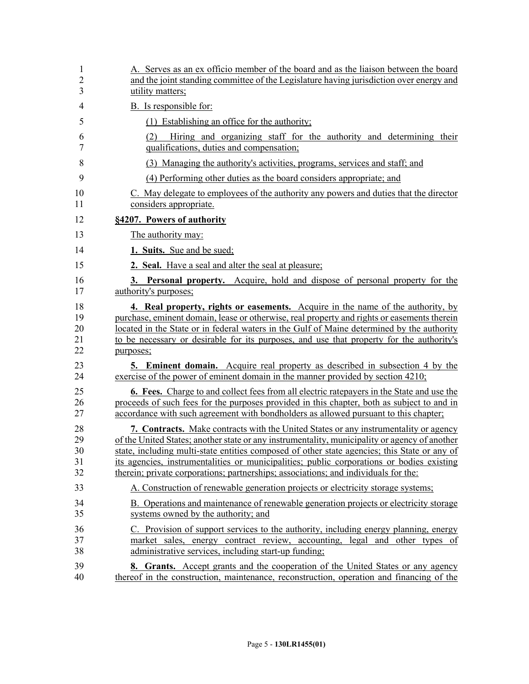| 1      | A. Serves as an ex officio member of the board and as the liaison between the board                                    |
|--------|------------------------------------------------------------------------------------------------------------------------|
| 2      | and the joint standing committee of the Legislature having jurisdiction over energy and                                |
| 3      | utility matters;                                                                                                       |
| 4      | <b>B.</b> Is responsible for:                                                                                          |
| 5      | (1) Establishing an office for the authority;                                                                          |
| 6<br>7 | Hiring and organizing staff for the authority and determining their<br>(2)<br>qualifications, duties and compensation; |
| 8      | (3) Managing the authority's activities, programs, services and staff; and                                             |
| 9      | (4) Performing other duties as the board considers appropriate; and                                                    |
| 10     | C. May delegate to employees of the authority any powers and duties that the director                                  |
| 11     | considers appropriate.                                                                                                 |
| 12     | §4207. Powers of authority                                                                                             |
| 13     | The authority may:                                                                                                     |
| 14     | 1. Suits. Sue and be sued:                                                                                             |
| 15     | 2. Seal. Have a seal and alter the seal at pleasure;                                                                   |
| 16     | <b>3. Personal property.</b> Acquire, hold and dispose of personal property for the                                    |
| 17     | authority's purposes;                                                                                                  |
| 18     | <b>4. Real property, rights or easements.</b> Acquire in the name of the authority, by                                 |
| 19     | purchase, eminent domain, lease or otherwise, real property and rights or easements therein                            |
| 20     | located in the State or in federal waters in the Gulf of Maine determined by the authority                             |
| 21     | to be necessary or desirable for its purposes, and use that property for the authority's                               |
| 22     | purposes;                                                                                                              |
| 23     | <b>5. Eminent domain.</b> Acquire real property as described in subsection 4 by the                                    |
| 24     | exercise of the power of eminent domain in the manner provided by section 4210;                                        |
| 25     | <b>6.</b> Fees. Charge to and collect fees from all electric ratepayers in the State and use the                       |
| 26     | proceeds of such fees for the purposes provided in this chapter, both as subject to and in                             |
| 27     | accordance with such agreement with bondholders as allowed pursuant to this chapter;                                   |
| 28     | <b>7. Contracts.</b> Make contracts with the United States or any instrumentality or agency                            |
| 29     | of the United States; another state or any instrumentality, municipality or agency of another                          |
| 30     | state, including multi-state entities composed of other state agencies; this State or any of                           |
| 31     | its agencies, instrumentalities or municipalities; public corporations or bodies existing                              |
| 32     | therein; private corporations; partnerships; associations; and individuals for the:                                    |
| 33     | A. Construction of renewable generation projects or electricity storage systems;                                       |
| 34     | B. Operations and maintenance of renewable generation projects or electricity storage                                  |
| 35     | systems owned by the authority; and                                                                                    |
| 36     | C. Provision of support services to the authority, including energy planning, energy                                   |
| 37     | market sales, energy contract review, accounting, legal and other types of                                             |
| 38     | administrative services, including start-up funding;                                                                   |
| 39     | <b>8.</b> Grants. Accept grants and the cooperation of the United States or any agency                                 |
| 40     | thereof in the construction, maintenance, reconstruction, operation and financing of the                               |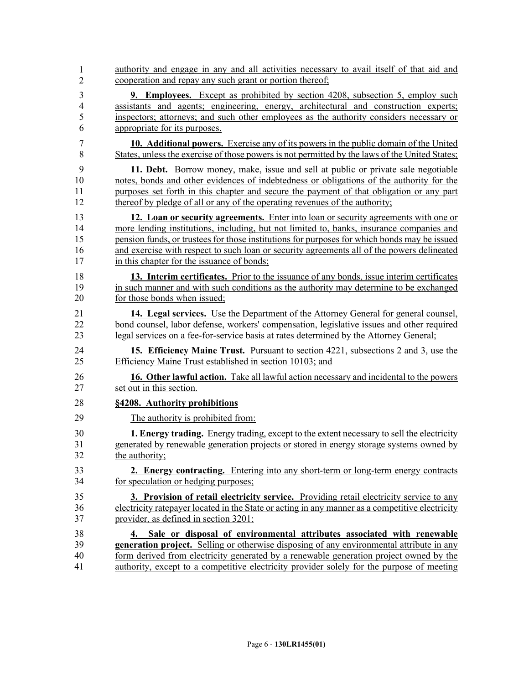| 1              | authority and engage in any and all activities necessary to avail itself of that aid and         |
|----------------|--------------------------------------------------------------------------------------------------|
| $\overline{2}$ | cooperation and repay any such grant or portion thereof;                                         |
| 3              | <b>9. Employees.</b> Except as prohibited by section 4208, subsection 5, employ such             |
| $\overline{4}$ | assistants and agents; engineering, energy, architectural and construction experts;              |
| 5              | inspectors; attorneys; and such other employees as the authority considers necessary or          |
| 6              | appropriate for its purposes.                                                                    |
| 7              | <b>10. Additional powers.</b> Exercise any of its powers in the public domain of the United      |
| 8              | States, unless the exercise of those powers is not permitted by the laws of the United States;   |
| 9              | 11. Debt. Borrow money, make, issue and sell at public or private sale negotiable                |
| 10             | notes, bonds and other evidences of indebtedness or obligations of the authority for the         |
| 11             | purposes set forth in this chapter and secure the payment of that obligation or any part         |
| 12             | thereof by pledge of all or any of the operating revenues of the authority;                      |
| 13             | 12. Loan or security agreements. Enter into loan or security agreements with one or              |
| 14             | more lending institutions, including, but not limited to, banks, insurance companies and         |
| 15             | pension funds, or trustees for those institutions for purposes for which bonds may be issued     |
| 16             | and exercise with respect to such loan or security agreements all of the powers delineated       |
| 17             | in this chapter for the issuance of bonds;                                                       |
| 18             | 13. Interim certificates. Prior to the issuance of any bonds, issue interim certificates         |
| 19             | in such manner and with such conditions as the authority may determine to be exchanged           |
| 20             | for those bonds when issued;                                                                     |
| 21             | <b>14. Legal services.</b> Use the Department of the Attorney General for general counsel,       |
| 22             | bond counsel, labor defense, workers' compensation, legislative issues and other required        |
| 23             | legal services on a fee-for-service basis at rates determined by the Attorney General;           |
| 24             | 15. Efficiency Maine Trust. Pursuant to section 4221, subsections 2 and 3, use the               |
| 25             | Efficiency Maine Trust established in section 10103; and                                         |
| 26             | 16. Other lawful action. Take all lawful action necessary and incidental to the powers           |
| 27             | set out in this section.                                                                         |
| 28             | §4208. Authority prohibitions                                                                    |
| 29             | The authority is prohibited from:                                                                |
| 30             | <b>1. Energy trading.</b> Energy trading, except to the extent necessary to sell the electricity |
| 31             | generated by renewable generation projects or stored in energy storage systems owned by          |
| 32             | the authority;                                                                                   |
| 33             | 2. Energy contracting. Entering into any short-term or long-term energy contracts                |
| 34             | for speculation or hedging purposes;                                                             |
| 35             | 3. Provision of retail electricity service. Providing retail electricity service to any          |
| 36             | electricity ratepayer located in the State or acting in any manner as a competitive electricity  |
| 37             | provider, as defined in section 3201;                                                            |
| 38             | 4. Sale or disposal of environmental attributes associated with renewable                        |
| 39             | <b>generation project.</b> Selling or otherwise disposing of any environmental attribute in any  |
| 40             | form derived from electricity generated by a renewable generation project owned by the           |
| 41             | authority, except to a competitive electricity provider solely for the purpose of meeting        |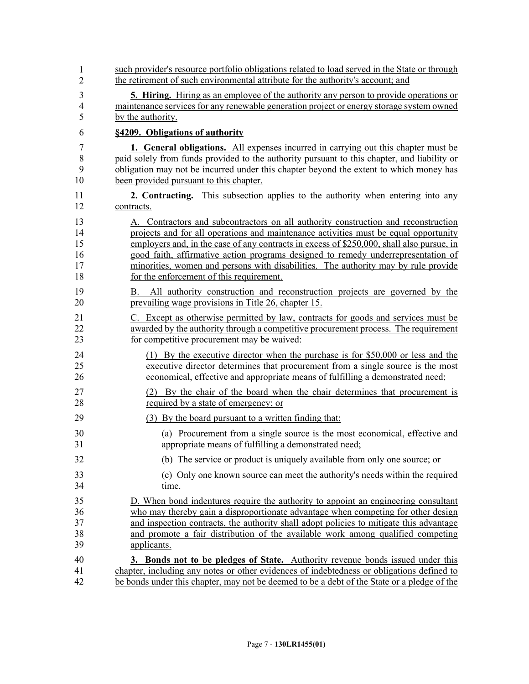| $\mathbf{1}$   | such provider's resource portfolio obligations related to load served in the State or through                                           |
|----------------|-----------------------------------------------------------------------------------------------------------------------------------------|
| $\overline{2}$ | the retirement of such environmental attribute for the authority's account; and                                                         |
| 3              | <b>5. Hiring.</b> Hiring as an employee of the authority any person to provide operations or                                            |
| $\overline{4}$ | maintenance services for any renewable generation project or energy storage system owned                                                |
| 5              | by the authority.                                                                                                                       |
| 6              | §4209. Obligations of authority                                                                                                         |
| 7              | 1. General obligations. All expenses incurred in carrying out this chapter must be                                                      |
| 8              | paid solely from funds provided to the authority pursuant to this chapter, and liability or                                             |
| 9              | obligation may not be incurred under this chapter beyond the extent to which money has                                                  |
| 10             | been provided pursuant to this chapter.                                                                                                 |
| 11             | <b>2. Contracting.</b> This subsection applies to the authority when entering into any                                                  |
| 12             | contracts.                                                                                                                              |
| 13             | A. Contractors and subcontractors on all authority construction and reconstruction                                                      |
| 14             | projects and for all operations and maintenance activities must be equal opportunity                                                    |
| 15             | employers and, in the case of any contracts in excess of \$250,000, shall also pursue, in                                               |
| 16             | good faith, affirmative action programs designed to remedy underrepresentation of                                                       |
| 17             | minorities, women and persons with disabilities. The authority may by rule provide                                                      |
| 18             | for the enforcement of this requirement.                                                                                                |
| 19<br>20       | All authority construction and reconstruction projects are governed by the<br>B.<br>prevailing wage provisions in Title 26, chapter 15. |
| 21             | C. Except as otherwise permitted by law, contracts for goods and services must be                                                       |
| 22             | awarded by the authority through a competitive procurement process. The requirement                                                     |
| 23             | for competitive procurement may be waived:                                                                                              |
| 24             | (1) By the executive director when the purchase is for \$50,000 or less and the                                                         |
| 25             | executive director determines that procurement from a single source is the most                                                         |
| 26             | economical, effective and appropriate means of fulfilling a demonstrated need;                                                          |
| 27             | (2) By the chair of the board when the chair determines that procurement is                                                             |
| 28             | required by a state of emergency; or                                                                                                    |
| 29             | (3) By the board pursuant to a written finding that:                                                                                    |
| 30             | (a) Procurement from a single source is the most economical, effective and                                                              |
| 31             | appropriate means of fulfilling a demonstrated need;                                                                                    |
| 32             | (b) The service or product is uniquely available from only one source; or                                                               |
| 33             | (c) Only one known source can meet the authority's needs within the required                                                            |
| 34             | time.                                                                                                                                   |
| 35             | D. When bond indentures require the authority to appoint an engineering consultant                                                      |
| 36             | who may thereby gain a disproportionate advantage when competing for other design                                                       |
| 37             | and inspection contracts, the authority shall adopt policies to mitigate this advantage                                                 |
| 38             | and promote a fair distribution of the available work among qualified competing                                                         |
| 39             | applicants.                                                                                                                             |
| 40             | 3. Bonds not to be pledges of State. Authority revenue bonds issued under this                                                          |
| 41             | chapter, including any notes or other evidences of indebtedness or obligations defined to                                               |
| 42             | be bonds under this chapter, may not be deemed to be a debt of the State or a pledge of the                                             |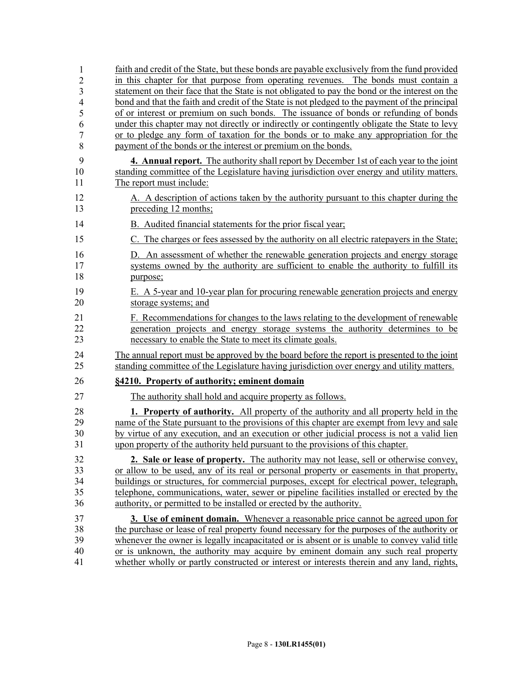| 1                   | faith and credit of the State, but these bonds are payable exclusively from the fund provided                                                                                                    |
|---------------------|--------------------------------------------------------------------------------------------------------------------------------------------------------------------------------------------------|
| $\overline{2}$      | in this chapter for that purpose from operating revenues. The bonds must contain a                                                                                                               |
| 3<br>$\overline{4}$ | statement on their face that the State is not obligated to pay the bond or the interest on the<br>bond and that the faith and credit of the State is not pledged to the payment of the principal |
| 5                   | of or interest or premium on such bonds. The issuance of bonds or refunding of bonds                                                                                                             |
| 6                   | under this chapter may not directly or indirectly or contingently obligate the State to levy                                                                                                     |
| $\overline{7}$      | or to pledge any form of taxation for the bonds or to make any appropriation for the                                                                                                             |
| 8                   | payment of the bonds or the interest or premium on the bonds.                                                                                                                                    |
| 9                   | <b>4. Annual report.</b> The authority shall report by December 1st of each year to the joint                                                                                                    |
| 10                  | standing committee of the Legislature having jurisdiction over energy and utility matters.                                                                                                       |
| 11                  | The report must include:                                                                                                                                                                         |
| 12                  | A. A description of actions taken by the authority pursuant to this chapter during the                                                                                                           |
| 13                  | preceding 12 months;                                                                                                                                                                             |
| 14                  | B. Audited financial statements for the prior fiscal year;                                                                                                                                       |
| 15                  | C. The charges or fees assessed by the authority on all electric rate payers in the State;                                                                                                       |
| 16                  | D. An assessment of whether the renewable generation projects and energy storage                                                                                                                 |
| 17                  | systems owned by the authority are sufficient to enable the authority to fulfill its                                                                                                             |
| 18                  | purpose;                                                                                                                                                                                         |
| 19                  | E. A 5-year and 10-year plan for procuring renewable generation projects and energy                                                                                                              |
| 20                  | storage systems; and                                                                                                                                                                             |
| 21                  | F. Recommendations for changes to the laws relating to the development of renewable                                                                                                              |
| 22                  | generation projects and energy storage systems the authority determines to be                                                                                                                    |
| 23                  | necessary to enable the State to meet its climate goals.                                                                                                                                         |
| 24                  | The annual report must be approved by the board before the report is presented to the joint                                                                                                      |
| 25                  | standing committee of the Legislature having jurisdiction over energy and utility matters.                                                                                                       |
| 26                  | §4210. Property of authority; eminent domain                                                                                                                                                     |
| 27                  | The authority shall hold and acquire property as follows.                                                                                                                                        |
| 28                  | <b>1. Property of authority.</b> All property of the authority and all property held in the                                                                                                      |
| 29                  | name of the State pursuant to the provisions of this chapter are exempt from levy and sale                                                                                                       |
| 30                  | by virtue of any execution, and an execution or other judicial process is not a valid lien                                                                                                       |
| 31                  | upon property of the authority held pursuant to the provisions of this chapter.                                                                                                                  |
| 32                  | 2. Sale or lease of property. The authority may not lease, sell or otherwise convey,                                                                                                             |
| 33                  | or allow to be used, any of its real or personal property or easements in that property,                                                                                                         |
| 34                  | buildings or structures, for commercial purposes, except for electrical power, telegraph,                                                                                                        |
| 35                  | telephone, communications, water, sewer or pipeline facilities installed or erected by the                                                                                                       |
| 36                  | authority, or permitted to be installed or erected by the authority.                                                                                                                             |
| 37                  | 3. Use of eminent domain. Whenever a reasonable price cannot be agreed upon for                                                                                                                  |
| 38                  | the purchase or lease of real property found necessary for the purposes of the authority or                                                                                                      |
| 39                  | whenever the owner is legally incapacitated or is absent or is unable to convey valid title                                                                                                      |
| 40                  | or is unknown, the authority may acquire by eminent domain any such real property                                                                                                                |
| 41                  | whether wholly or partly constructed or interest or interests therein and any land, rights,                                                                                                      |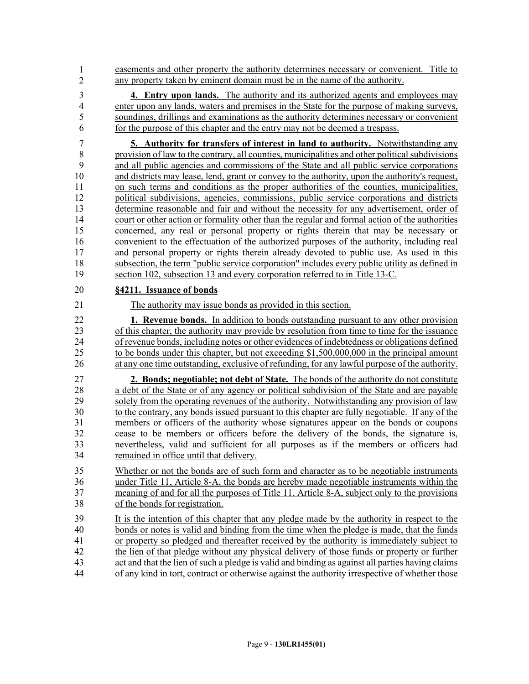42 easements and other property the authority determines necessary or convenient. Title to any property taken by eminent domain must be in the name of the authority. 1 2

3 **4. Entry upon lands.** The authority and its authorized agents and employees may 4 enter upon any lands, waters and premises in the State for the purpose of making surveys, 5 soundings, drillings and examinations as the authority determines necessary or convenient 6 for the purpose of this chapter and the entry may not be deemed a trespass.

7 **5. Authority for transfers of interest in land to authority.** Notwithstanding any 8 provision of law to the contrary, all counties, municipalities and other political subdivisions 9 and all public agencies and commissions of the State and all public service corporations 10 and districts may lease, lend, grant or convey to the authority, upon the authority's request, 11 on such terms and conditions as the proper authorities of the counties, municipalities, 12 political subdivisions, agencies, commissions, public service corporations and districts 13 determine reasonable and fair and without the necessity for any advertisement, order of 14 court or other action or formality other than the regular and formal action of the authorities 15 concerned, any real or personal property or rights therein that may be necessary or 16 convenient to the effectuation of the authorized purposes of the authority, including real 17 and personal property or rights therein already devoted to public use. As used in this 18 subsection, the term "public service corporation" includes every public utility as defined in 19 section 102, subsection 13 and every corporation referred to in Title 13-C.

#### 20 **§4211. Issuance of bonds**

21 The authority may issue bonds as provided in this section.

22 **1. Revenue bonds.** In addition to bonds outstanding pursuant to any other provision 23 of this chapter, the authority may provide by resolution from time to time for the issuance 24 of revenue bonds, including notes or other evidences of indebtedness or obligations defined 25 to be bonds under this chapter, but not exceeding \$1,500,000,000 in the principal amount 26 at any one time outstanding, exclusive of refunding, for any lawful purpose of the authority.

27 **2. Bonds; negotiable; not debt of State.** The bonds of the authority do not constitute 28 a debt of the State or of any agency or political subdivision of the State and are payable 29 solely from the operating revenues of the authority. Notwithstanding any provision of law 30 to the contrary, any bonds issued pursuant to this chapter are fully negotiable. If any of the 31 members or officers of the authority whose signatures appear on the bonds or coupons 32 cease to be members or officers before the delivery of the bonds, the signature is, 33 nevertheless, valid and sufficient for all purposes as if the members or officers had 34 remained in office until that delivery.

35 Whether or not the bonds are of such form and character as to be negotiable instruments 36 under Title 11, Article 8-A, the bonds are hereby made negotiable instruments within the 37 meaning of and for all the purposes of Title 11, Article 8-A, subject only to the provisions 38 of the bonds for registration.

39 It is the intention of this chapter that any pledge made by the authority in respect to the 40 bonds or notes is valid and binding from the time when the pledge is made, that the funds 41 or property so pledged and thereafter received by the authority is immediately subject to 42 the lien of that pledge without any physical delivery of those funds or property or further 43 act and that the lien of such a pledge is valid and binding as against all parties having claims 44 of any kind in tort, contract or otherwise against the authority irrespective of whether those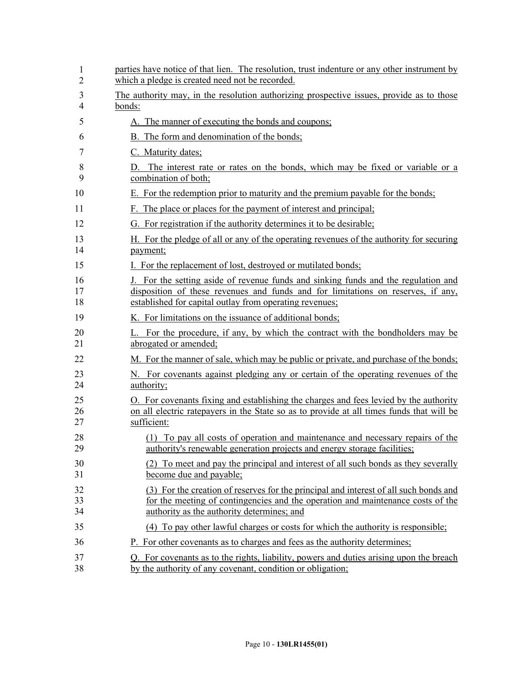| 1<br>2         | parties have notice of that lien. The resolution, trust indenture or any other instrument by<br>which a pledge is created need not be recorded.                                                                                   |
|----------------|-----------------------------------------------------------------------------------------------------------------------------------------------------------------------------------------------------------------------------------|
| 3<br>4         | The authority may, in the resolution authorizing prospective issues, provide as to those<br>bonds:                                                                                                                                |
| 5              | A. The manner of executing the bonds and coupons;                                                                                                                                                                                 |
| 6              | B. The form and denomination of the bonds;                                                                                                                                                                                        |
| 7              | C. Maturity dates;                                                                                                                                                                                                                |
| 8<br>9         | The interest rate or rates on the bonds, which may be fixed or variable or a<br>D.<br>combination of both;                                                                                                                        |
| 10             | E. For the redemption prior to maturity and the premium payable for the bonds;                                                                                                                                                    |
| 11             | F. The place or places for the payment of interest and principal;                                                                                                                                                                 |
| 12             | G. For registration if the authority determines it to be desirable;                                                                                                                                                               |
| 13<br>14       | H. For the pledge of all or any of the operating revenues of the authority for securing<br>payment;                                                                                                                               |
| 15             | I. For the replacement of lost, destroyed or mutilated bonds;                                                                                                                                                                     |
| 16<br>17<br>18 | J. For the setting aside of revenue funds and sinking funds and the regulation and<br>disposition of these revenues and funds and for limitations on reserves, if any,<br>established for capital outlay from operating revenues; |
| 19             | K. For limitations on the issuance of additional bonds;                                                                                                                                                                           |
| 20<br>21       | L. For the procedure, if any, by which the contract with the bondholders may be<br>abrogated or amended;                                                                                                                          |
| 22             | M. For the manner of sale, which may be public or private, and purchase of the bonds;                                                                                                                                             |
| 23<br>24       | N. For covenants against pledging any or certain of the operating revenues of the<br>authority;                                                                                                                                   |
| 25<br>26<br>27 | O. For covenants fixing and establishing the charges and fees levied by the authority<br>on all electric rate payers in the State so as to provide at all times funds that will be<br>sufficient:                                 |
| 28<br>29       | (1) To pay all costs of operation and maintenance and necessary repairs of the<br>authority's renewable generation projects and energy storage facilities;                                                                        |
| 30<br>31       | (2) To meet and pay the principal and interest of all such bonds as they severally<br>become due and payable;                                                                                                                     |
| 32<br>33<br>34 | (3) For the creation of reserves for the principal and interest of all such bonds and<br>for the meeting of contingencies and the operation and maintenance costs of the<br>authority as the authority determines; and            |
| 35             | (4) To pay other lawful charges or costs for which the authority is responsible;                                                                                                                                                  |
| 36             | P. For other covenants as to charges and fees as the authority determines;                                                                                                                                                        |
| 37<br>38       | For covenants as to the rights, liability, powers and duties arising upon the breach<br>O.<br>by the authority of any covenant, condition or obligation;                                                                          |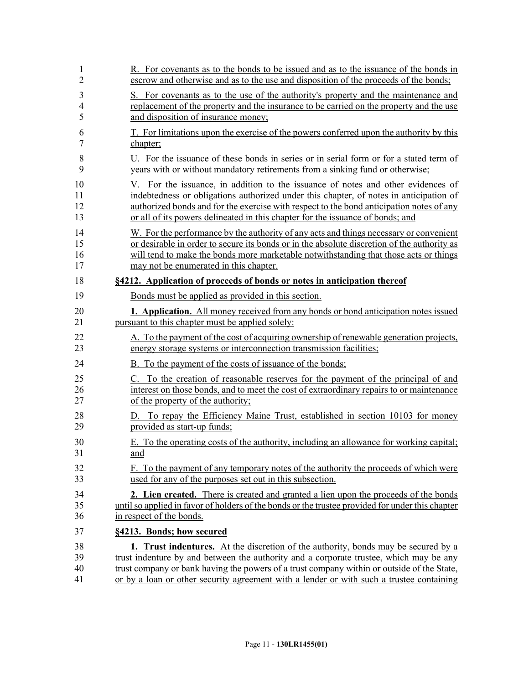| 1              | R. For covenants as to the bonds to be issued and as to the issuance of the bonds in             |
|----------------|--------------------------------------------------------------------------------------------------|
| 2              | escrow and otherwise and as to the use and disposition of the proceeds of the bonds;             |
| 3              | S. For covenants as to the use of the authority's property and the maintenance and               |
| $\overline{4}$ | replacement of the property and the insurance to be carried on the property and the use          |
| 5              | and disposition of insurance money;                                                              |
| 6              | T. For limitations upon the exercise of the powers conferred upon the authority by this          |
| 7              | chapter;                                                                                         |
| 8              | U. For the issuance of these bonds in series or in serial form or for a stated term of           |
| 9              | years with or without mandatory retirements from a sinking fund or otherwise;                    |
| 10             | V. For the issuance, in addition to the issuance of notes and other evidences of                 |
| 11             | indebtedness or obligations authorized under this chapter, of notes in anticipation of           |
| 12             | authorized bonds and for the exercise with respect to the bond anticipation notes of any         |
| 13             | or all of its powers delineated in this chapter for the issuance of bonds; and                   |
| 14             | W. For the performance by the authority of any acts and things necessary or convenient           |
| 15             | or desirable in order to secure its bonds or in the absolute discretion of the authority as      |
| 16             | will tend to make the bonds more marketable notwithstanding that those acts or things            |
| 17             | may not be enumerated in this chapter.                                                           |
| 18             | §4212. Application of proceeds of bonds or notes in anticipation thereof                         |
| 19             | Bonds must be applied as provided in this section.                                               |
| 20             | <b>1. Application.</b> All money received from any bonds or bond anticipation notes issued       |
| 21             | pursuant to this chapter must be applied solely:                                                 |
| 22             | A. To the payment of the cost of acquiring ownership of renewable generation projects,           |
| 23             | energy storage systems or interconnection transmission facilities;                               |
| 24             | B. To the payment of the costs of issuance of the bonds;                                         |
| 25             | C. To the creation of reasonable reserves for the payment of the principal of and                |
| 26             | interest on those bonds, and to meet the cost of extraordinary repairs to or maintenance         |
| 27             | of the property of the authority;                                                                |
| 28             | D. To repay the Efficiency Maine Trust, established in section 10103 for money                   |
| 29             | provided as start-up funds;                                                                      |
| 30             | E. To the operating costs of the authority, including an allowance for working capital;          |
| 31             | and                                                                                              |
| 32             | F. To the payment of any temporary notes of the authority the proceeds of which were             |
| 33             | used for any of the purposes set out in this subsection.                                         |
| 34             | 2. Lien created. There is created and granted a lien upon the proceeds of the bonds              |
| 35             | until so applied in favor of holders of the bonds or the trustee provided for under this chapter |
| 36             | in respect of the bonds.                                                                         |
| 37             | §4213. Bonds; how secured                                                                        |
| 38             | <b>1. Trust indentures.</b> At the discretion of the authority, bonds may be secured by a        |
| 39             | trust indenture by and between the authority and a corporate trustee, which may be any           |
| 40             | trust company or bank having the powers of a trust company within or outside of the State,       |
| 41             | or by a loan or other security agreement with a lender or with such a trustee containing         |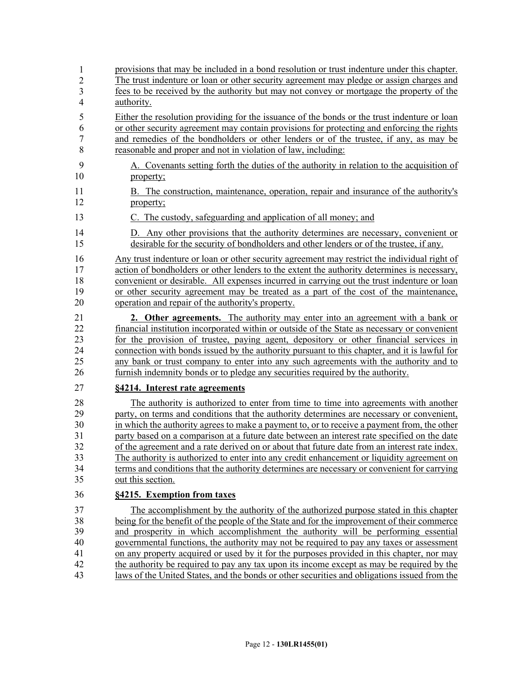| 1              | provisions that may be included in a bond resolution or trust indenture under this chapter.   |
|----------------|-----------------------------------------------------------------------------------------------|
| $\overline{2}$ | The trust indenture or loan or other security agreement may pledge or assign charges and      |
| 3              | fees to be received by the authority but may not convey or mortgage the property of the       |
| $\overline{4}$ | authority.                                                                                    |
| 5              | Either the resolution providing for the issuance of the bonds or the trust indenture or loan  |
| 6              | or other security agreement may contain provisions for protecting and enforcing the rights    |
| 7              | and remedies of the bondholders or other lenders or of the trustee, if any, as may be         |
| 8              | reasonable and proper and not in violation of law, including:                                 |
| 9              | A. Covenants setting forth the duties of the authority in relation to the acquisition of      |
| 10             | property;                                                                                     |
| 11             | B. The construction, maintenance, operation, repair and insurance of the authority's          |
| 12             | property;                                                                                     |
| 13             | C. The custody, safeguarding and application of all money; and                                |
| 14             | D. Any other provisions that the authority determines are necessary, convenient or            |
| 15             | desirable for the security of bondholders and other lenders or of the trustee, if any.        |
| 16             | Any trust indenture or loan or other security agreement may restrict the individual right of  |
| 17             | action of bondholders or other lenders to the extent the authority determines is necessary,   |
| 18             | convenient or desirable. All expenses incurred in carrying out the trust indenture or loan    |
| 19             | or other security agreement may be treated as a part of the cost of the maintenance,          |
| 20             | operation and repair of the authority's property.                                             |
| 21             | 2. Other agreements. The authority may enter into an agreement with a bank or                 |
| 22             | financial institution incorporated within or outside of the State as necessary or convenient  |
| 23             | for the provision of trustee, paying agent, depository or other financial services in         |
| 24             | connection with bonds issued by the authority pursuant to this chapter, and it is lawful for  |
| 25             | any bank or trust company to enter into any such agreements with the authority and to         |
| 26             | furnish indemnity bonds or to pledge any securities required by the authority.                |
| 27             | §4214. Interest rate agreements                                                               |
| 28             | The authority is authorized to enter from time to time into agreements with another           |
| 29             | party, on terms and conditions that the authority determines are necessary or convenient,     |
| 30             | in which the authority agrees to make a payment to, or to receive a payment from, the other   |
| 31             | party based on a comparison at a future date between an interest rate specified on the date   |
| 32             | of the agreement and a rate derived on or about that future date from an interest rate index. |
| 33             | The authority is authorized to enter into any credit enhancement or liquidity agreement on    |
| 34             | terms and conditions that the authority determines are necessary or convenient for carrying   |
| 35             | out this section.                                                                             |
| 36             | §4215. Exemption from taxes                                                                   |
| 37             | The accomplishment by the authority of the authorized purpose stated in this chapter          |
| 38             | being for the benefit of the people of the State and for the improvement of their commerce    |
| 39             | and prosperity in which accomplishment the authority will be performing essential             |
| 40             | governmental functions, the authority may not be required to pay any taxes or assessment      |
| 41             | on any property acquired or used by it for the purposes provided in this chapter, nor may     |
| 42             | the authority be required to pay any tax upon its income except as may be required by the     |
| 43             | laws of the United States, and the bonds or other securities and obligations issued from the  |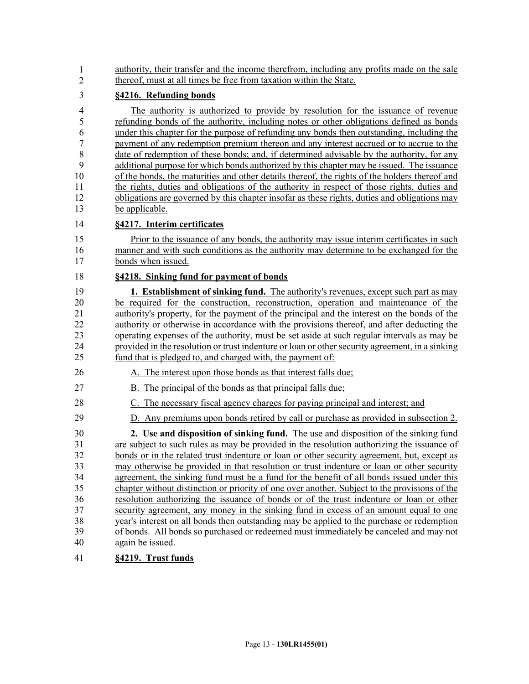authority, their transfer and the income therefrom, including any profits made on the sale thereof, must at all times be free from taxation within the State. 3 **§4216. Refunding bonds** 4 The authority is authorized to provide by resolution for the issuance of revenue 5 refunding bonds of the authority, including notes or other obligations defined as bonds 6 under this chapter for the purpose of refunding any bonds then outstanding, including the 7 payment of any redemption premium thereon and any interest accrued or to accrue to the 8 date of redemption of these bonds; and, if determined advisable by the authority, for any 9 additional purpose for which bonds authorized by this chapter may be issued. The issuance 10 of the bonds, the maturities and other details thereof, the rights of the holders thereof and 11 the rights, duties and obligations of the authority in respect of those rights, duties and 12 obligations are governed by this chapter insofar as these rights, duties and obligations may 13 be applicable. 14 **§4217. Interim certificates** 15 Prior to the issuance of any bonds, the authority may issue interim certificates in such 16 manner and with such conditions as the authority may determine to be exchanged for the 17 bonds when issued. 18 **§4218. Sinking fund for payment of bonds** 19 **1. Establishment of sinking fund.** The authority's revenues, except such part as may 20 be required for the construction, reconstruction, operation and maintenance of the 21 authority's property, for the payment of the principal and the interest on the bonds of the 22 authority or otherwise in accordance with the provisions thereof, and after deducting the 23 operating expenses of the authority, must be set aside at such regular intervals as may be 24 provided in the resolution or trust indenture or loan or other security agreement, in a sinking 25 fund that is pledged to, and charged with, the payment of: 26 A. The interest upon those bonds as that interest falls due; 27 B. The principal of the bonds as that principal falls due; 28 C. The necessary fiscal agency charges for paying principal and interest; and 29 D. Any premiums upon bonds retired by call or purchase as provided in subsection 2. 30 **2. Use and disposition of sinking fund.** The use and disposition of the sinking fund 31 are subject to such rules as may be provided in the resolution authorizing the issuance of 32 bonds or in the related trust indenture or loan or other security agreement, but, except as 33 may otherwise be provided in that resolution or trust indenture or loan or other security 34 agreement, the sinking fund must be a fund for the benefit of all bonds issued under this 35 chapter without distinction or priority of one over another. Subject to the provisions of the 36 resolution authorizing the issuance of bonds or of the trust indenture or loan or other 37 security agreement, any money in the sinking fund in excess of an amount equal to one 38 year's interest on all bonds then outstanding may be applied to the purchase or redemption 39 of bonds. All bonds so purchased or redeemed must immediately be canceled and may not 40 again be issued. 41 **§4219. Trust funds** 1 2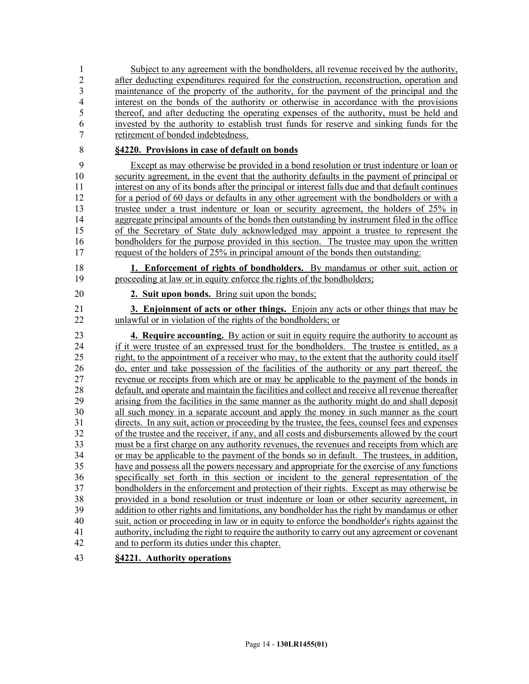1 Subject to any agreement with the bondholders, all revenue received by the authority, 2 after deducting expenditures required for the construction, reconstruction, operation and<br>3 maintenance of the property of the authority, for the payment of the principal and the maintenance of the property of the authority, for the payment of the principal and the 4 interest on the bonds of the authority or otherwise in accordance with the provisions 5 thereof, and after deducting the operating expenses of the authority, must be held and 6 invested by the authority to establish trust funds for reserve and sinking funds for the 7 retirement of bonded indebtedness.

#### 8 **§4220. Provisions in case of default on bonds**

9 Except as may otherwise be provided in a bond resolution or trust indenture or loan or 10 security agreement, in the event that the authority defaults in the payment of principal or 11 interest on any of its bonds after the principal or interest falls due and that default continues 12 for a period of 60 days or defaults in any other agreement with the bondholders or with a 13 trustee under a trust indenture or loan or security agreement, the holders of 25% in 14 aggregate principal amounts of the bonds then outstanding by instrument filed in the office 15 of the Secretary of State duly acknowledged may appoint a trustee to represent the 16 bondholders for the purpose provided in this section. The trustee may upon the written 17 request of the holders of 25% in principal amount of the bonds then outstanding:

18 **1. Enforcement of rights of bondholders.** By mandamus or other suit, action or 19 proceeding at law or in equity enforce the rights of the bondholders;

20 **2. Suit upon bonds.** Bring suit upon the bonds;

21 **3. Enjoinment of acts or other things.** Enjoin any acts or other things that may be 22 unlawful or in violation of the rights of the bondholders; or

23 **4. Require accounting.** By action or suit in equity require the authority to account as 24 if it were trustee of an expressed trust for the bondholders. The trustee is entitled, as a 25 right, to the appointment of a receiver who may, to the extent that the authority could itself 26 do, enter and take possession of the facilities of the authority or any part thereof, the 27 revenue or receipts from which are or may be applicable to the payment of the bonds in 28 default, and operate and maintain the facilities and collect and receive all revenue thereafter 29 arising from the facilities in the same manner as the authority might do and shall deposit 30 all such money in a separate account and apply the money in such manner as the court 31 directs. In any suit, action or proceeding by the trustee, the fees, counsel fees and expenses 32 of the trustee and the receiver, if any, and all costs and disbursements allowed by the court 33 must be a first charge on any authority revenues, the revenues and receipts from which are 34 or may be applicable to the payment of the bonds so in default. The trustees, in addition, 35 have and possess all the powers necessary and appropriate for the exercise of any functions 36 specifically set forth in this section or incident to the general representation of the 37 bondholders in the enforcement and protection of their rights. Except as may otherwise be 38 provided in a bond resolution or trust indenture or loan or other security agreement, in 39 addition to other rights and limitations, any bondholder has the right by mandamus or other 40 suit, action or proceeding in law or in equity to enforce the bondholder's rights against the 41 authority, including the right to require the authority to carry out any agreement or covenant 42 and to perform its duties under this chapter.

#### 43 **§4221. Authority operations**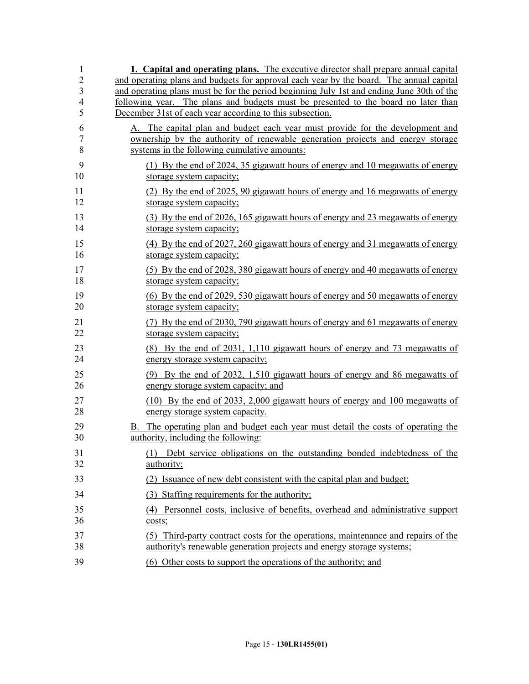| 1        | 1. Capital and operating plans. The executive director shall prepare annual capital                                                                           |
|----------|---------------------------------------------------------------------------------------------------------------------------------------------------------------|
| 2        | and operating plans and budgets for approval each year by the board. The annual capital                                                                       |
| 3        | and operating plans must be for the period beginning July 1st and ending June 30th of the                                                                     |
| 4        | following year. The plans and budgets must be presented to the board no later than                                                                            |
| 5        | December 31st of each year according to this subsection.                                                                                                      |
| 6        | A. The capital plan and budget each year must provide for the development and                                                                                 |
| 7        | ownership by the authority of renewable generation projects and energy storage                                                                                |
| 8        | systems in the following cumulative amounts:                                                                                                                  |
| 9        | (1) By the end of 2024, 35 gigawatt hours of energy and 10 megawatts of energy                                                                                |
| 10       | storage system capacity;                                                                                                                                      |
| 11       | (2) By the end of 2025, 90 gigawatt hours of energy and 16 megawatts of energy                                                                                |
| 12       | storage system capacity;                                                                                                                                      |
| 13       | (3) By the end of 2026, 165 gigawatt hours of energy and 23 megawatts of energy                                                                               |
| 14       | storage system capacity;                                                                                                                                      |
| 15       | (4) By the end of 2027, 260 gigawatt hours of energy and 31 megawatts of energy                                                                               |
| 16       | storage system capacity;                                                                                                                                      |
| 17       | (5) By the end of 2028, 380 gigawatt hours of energy and 40 megawatts of energy                                                                               |
| 18       | storage system capacity;                                                                                                                                      |
| 19       | (6) By the end of 2029, 530 gigawatt hours of energy and 50 megawatts of energy                                                                               |
| 20       | storage system capacity;                                                                                                                                      |
| 21       | (7) By the end of 2030, 790 gigawatt hours of energy and 61 megawatts of energy                                                                               |
| 22       | storage system capacity;                                                                                                                                      |
| 23       | (8) By the end of 2031, 1,110 gigawatt hours of energy and 73 megawatts of                                                                                    |
| 24       | energy storage system capacity;                                                                                                                               |
| 25       | (9) By the end of 2032, 1,510 gigawatt hours of energy and 86 megawatts of                                                                                    |
| 26       | energy storage system capacity; and                                                                                                                           |
| 27       | $(10)$ By the end of 2033, 2,000 gigawatt hours of energy and 100 megawatts of                                                                                |
| 28       | energy storage system capacity.                                                                                                                               |
| 29<br>30 | The operating plan and budget each year must detail the costs of operating the<br>В.<br>authority, including the following:                                   |
| 31<br>32 | Debt service obligations on the outstanding bonded indebtedness of the<br>(1)<br>authority;                                                                   |
| 33       | (2) Issuance of new debt consistent with the capital plan and budget;                                                                                         |
| 34       | (3) Staffing requirements for the authority;                                                                                                                  |
| 35       | (4) Personnel costs, inclusive of benefits, overhead and administrative support                                                                               |
| 36       | costs;                                                                                                                                                        |
| 37<br>38 | Third-party contract costs for the operations, maintenance and repairs of the<br>(5)<br>authority's renewable generation projects and energy storage systems; |
| 39       | (6) Other costs to support the operations of the authority; and                                                                                               |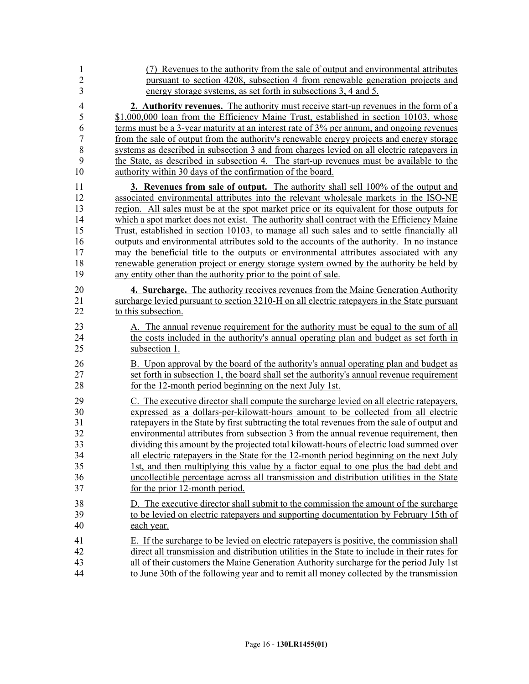| $\mathbf{1}$   | (7) Revenues to the authority from the sale of output and environmental attributes            |
|----------------|-----------------------------------------------------------------------------------------------|
| $\overline{2}$ | pursuant to section 4208, subsection 4 from renewable generation projects and                 |
| $\overline{3}$ | energy storage systems, as set forth in subsections 3, 4 and 5.                               |
| $\overline{4}$ | 2. Authority revenues. The authority must receive start-up revenues in the form of a          |
| 5              | \$1,000,000 loan from the Efficiency Maine Trust, established in section 10103, whose         |
| 6              | terms must be a 3-year maturity at an interest rate of 3% per annum, and ongoing revenues     |
| 7              | from the sale of output from the authority's renewable energy projects and energy storage     |
| 8              | systems as described in subsection 3 and from charges levied on all electric ratepayers in    |
| 9              | the State, as described in subsection 4. The start-up revenues must be available to the       |
| 10             | authority within 30 days of the confirmation of the board.                                    |
| 11             | <b>3. Revenues from sale of output.</b> The authority shall sell 100% of the output and       |
| 12             | associated environmental attributes into the relevant wholesale markets in the ISO-NE         |
| 13             | region. All sales must be at the spot market price or its equivalent for those outputs for    |
| 14             | which a spot market does not exist. The authority shall contract with the Efficiency Maine    |
| 15             | Trust, established in section 10103, to manage all such sales and to settle financially all   |
| 16             | outputs and environmental attributes sold to the accounts of the authority. In no instance    |
| 17             | may the beneficial title to the outputs or environmental attributes associated with any       |
| 18             | renewable generation project or energy storage system owned by the authority be held by       |
| 19             | any entity other than the authority prior to the point of sale.                               |
| 20             | <b>4. Surcharge.</b> The authority receives revenues from the Maine Generation Authority      |
| 21             | surcharge levied pursuant to section 3210-H on all electric rate payers in the State pursuant |
| 22             | to this subsection.                                                                           |
| 23             | A. The annual revenue requirement for the authority must be equal to the sum of all           |
| 24             | the costs included in the authority's annual operating plan and budget as set forth in        |
| 25             | subsection 1.                                                                                 |
| 26             | B. Upon approval by the board of the authority's annual operating plan and budget as          |
| 27             | set forth in subsection 1, the board shall set the authority's annual revenue requirement     |
| 28             | for the 12-month period beginning on the next July 1st.                                       |
| 29             | C. The executive director shall compute the surcharge levied on all electric rate payers,     |
| 30             | expressed as a dollars-per-kilowatt-hours amount to be collected from all electric            |
| 31             | rate payers in the State by first subtracting the total revenues from the sale of output and  |
| 32             | environmental attributes from subsection 3 from the annual revenue requirement, then          |
| 33             | dividing this amount by the projected total kilowatt-hours of electric load summed over       |
| 34             | all electric ratepayers in the State for the 12-month period beginning on the next July       |
| 35             | 1st, and then multiplying this value by a factor equal to one plus the bad debt and           |
| 36             | uncollectible percentage across all transmission and distribution utilities in the State      |
| 37             | for the prior 12-month period.                                                                |
| 38             | D. The executive director shall submit to the commission the amount of the surcharge          |
| 39             | to be levied on electric ratepayers and supporting documentation by February 15th of          |
| 40             | each year.                                                                                    |
| 41             | E. If the surcharge to be levied on electric rate payers is positive, the commission shall    |
| 42             | direct all transmission and distribution utilities in the State to include in their rates for |
| 43             | all of their customers the Maine Generation Authority surcharge for the period July 1st       |
| 44             | to June 30th of the following year and to remit all money collected by the transmission       |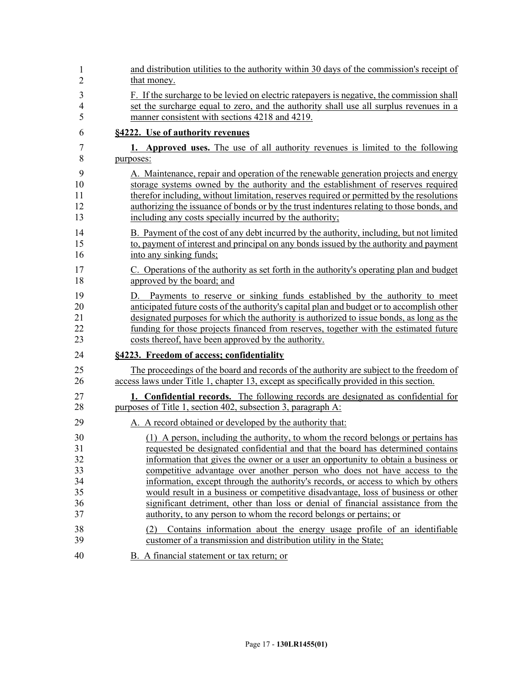| 1              | and distribution utilities to the authority within 30 days of the commission's receipt of                                                                                                                                 |
|----------------|---------------------------------------------------------------------------------------------------------------------------------------------------------------------------------------------------------------------------|
| $\overline{2}$ | that money.                                                                                                                                                                                                               |
| 3              | F. If the surcharge to be levied on electric rate payers is negative, the commission shall                                                                                                                                |
| 4              | set the surcharge equal to zero, and the authority shall use all surplus revenues in a                                                                                                                                    |
| 5              | manner consistent with sections 4218 and 4219.                                                                                                                                                                            |
| 6              | §4222. Use of authority revenues                                                                                                                                                                                          |
| 7              | <b>1.</b> Approved uses. The use of all authority revenues is limited to the following                                                                                                                                    |
| 8              | purposes:                                                                                                                                                                                                                 |
| 9              | A. Maintenance, repair and operation of the renewable generation projects and energy                                                                                                                                      |
| 10             | storage systems owned by the authority and the establishment of reserves required                                                                                                                                         |
| 11             | therefor including, without limitation, reserves required or permitted by the resolutions                                                                                                                                 |
| 12             | authorizing the issuance of bonds or by the trust indentures relating to those bonds, and                                                                                                                                 |
| 13             | including any costs specially incurred by the authority;                                                                                                                                                                  |
| 14             | B. Payment of the cost of any debt incurred by the authority, including, but not limited                                                                                                                                  |
| 15             | to, payment of interest and principal on any bonds issued by the authority and payment                                                                                                                                    |
| 16             | into any sinking funds;                                                                                                                                                                                                   |
| 17             | C. Operations of the authority as set forth in the authority's operating plan and budget                                                                                                                                  |
| 18             | approved by the board; and                                                                                                                                                                                                |
| 19             | D. Payments to reserve or sinking funds established by the authority to meet                                                                                                                                              |
| 20             | anticipated future costs of the authority's capital plan and budget or to accomplish other                                                                                                                                |
| 21             | designated purposes for which the authority is authorized to issue bonds, as long as the                                                                                                                                  |
| 22             | funding for those projects financed from reserves, together with the estimated future                                                                                                                                     |
| 23             | costs thereof, have been approved by the authority.                                                                                                                                                                       |
| 24             | §4223. Freedom of access; confidentiality                                                                                                                                                                                 |
| 25             | The proceedings of the board and records of the authority are subject to the freedom of                                                                                                                                   |
| 26             | access laws under Title 1, chapter 13, except as specifically provided in this section.                                                                                                                                   |
| 27             | 1. Confidential records. The following records are designated as confidential for                                                                                                                                         |
| 28             | purposes of Title 1, section 402, subsection 3, paragraph A:                                                                                                                                                              |
| 29             | A. A record obtained or developed by the authority that:                                                                                                                                                                  |
| 30             | (1) A person, including the authority, to whom the record belongs or pertains has                                                                                                                                         |
| 31             | requested be designated confidential and that the board has determined contains                                                                                                                                           |
| 32             | information that gives the owner or a user an opportunity to obtain a business or                                                                                                                                         |
| 33             | competitive advantage over another person who does not have access to the                                                                                                                                                 |
| 34             | information, except through the authority's records, or access to which by others                                                                                                                                         |
| 35             | would result in a business or competitive disadvantage, loss of business or other                                                                                                                                         |
| 36             | significant detriment, other than loss or denial of financial assistance from the                                                                                                                                         |
| 37<br>38<br>39 | authority, to any person to whom the record belongs or pertains; or<br>Contains information about the energy usage profile of an identifiable<br>(2)<br>customer of a transmission and distribution utility in the State; |
| 40             | B. A financial statement or tax return; or                                                                                                                                                                                |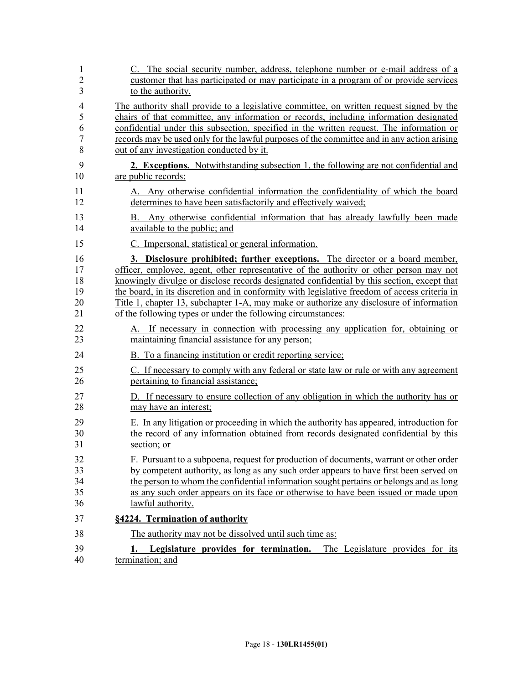| $\mathbf{1}$   | C. The social security number, address, telephone number or e-mail address of a                  |
|----------------|--------------------------------------------------------------------------------------------------|
| $\overline{2}$ | customer that has participated or may participate in a program of or provide services            |
| 3              | to the authority.                                                                                |
| 4              | The authority shall provide to a legislative committee, on written request signed by the         |
| 5              | chairs of that committee, any information or records, including information designated           |
| 6              | confidential under this subsection, specified in the written request. The information or         |
| $\overline{7}$ | records may be used only for the lawful purposes of the committee and in any action arising      |
| 8              | out of any investigation conducted by it.                                                        |
| 9              | <b>2. Exceptions.</b> Notwithstanding subsection 1, the following are not confidential and       |
| 10             | are public records:                                                                              |
| 11             | A. Any otherwise confidential information the confidentiality of which the board                 |
| 12             | determines to have been satisfactorily and effectively waived;                                   |
| 13             | B. Any otherwise confidential information that has already lawfully been made                    |
| 14             | available to the public; and                                                                     |
| 15             | C. Impersonal, statistical or general information.                                               |
| 16             | 3. Disclosure prohibited; further exceptions. The director or a board member,                    |
| 17             | officer, employee, agent, other representative of the authority or other person may not          |
| 18             | knowingly divulge or disclose records designated confidential by this section, except that       |
| 19             | the board, in its discretion and in conformity with legislative freedom of access criteria in    |
| 20             | Title 1, chapter 13, subchapter 1-A, may make or authorize any disclosure of information         |
| 21             | of the following types or under the following circumstances:                                     |
| 22             | A. If necessary in connection with processing any application for, obtaining or                  |
| 23             | maintaining financial assistance for any person;                                                 |
| 24             | <b>B.</b> To a financing institution or credit reporting service;                                |
| 25             | C. If necessary to comply with any federal or state law or rule or with any agreement            |
| 26             | pertaining to financial assistance;                                                              |
| 27             | D. If necessary to ensure collection of any obligation in which the authority has or             |
| 28             | may have an interest;                                                                            |
| 29             | E. In any litigation or proceeding in which the authority has appeared, introduction for         |
| 30             | the record of any information obtained from records designated confidential by this              |
| 31             | section; or                                                                                      |
| 32             | F. Pursuant to a subpoena, request for production of documents, warrant or other order           |
| 33             | by competent authority, as long as any such order appears to have first been served on           |
| 34             | the person to whom the confidential information sought pertains or belongs and as long           |
| 35             | as any such order appears on its face or otherwise to have been issued or made upon              |
| 36             | lawful authority.                                                                                |
| 37             | §4224. Termination of authority                                                                  |
| 38             | The authority may not be dissolved until such time as:                                           |
| 39<br>40       | Legislature provides for termination. The Legislature provides for its<br>1.<br>termination; and |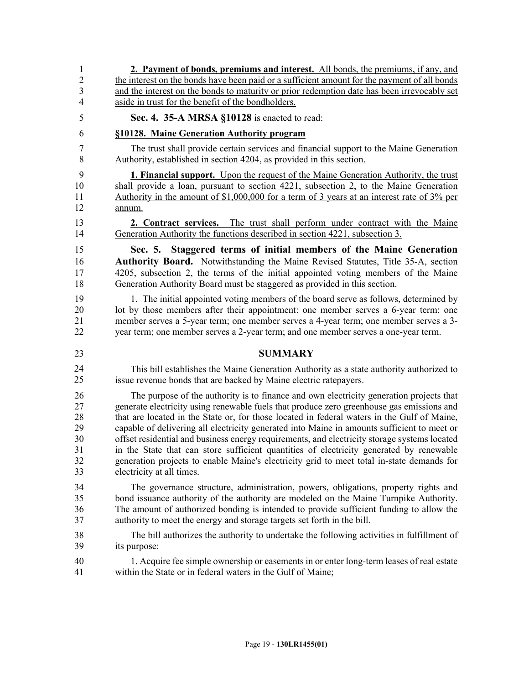1 **2. Payment of bonds, premiums and interest.** All bonds, the premiums, if any, and 2 the interest on the bonds have been paid or a sufficient amount for the payment of all bonds 3 and the interest on the bonds to maturity or prior redemption date has been irrevocably set 4 aside in trust for the benefit of the bondholders. 5 **Sec. 4. 35-A MRSA §10128** is enacted to read: 6 **§10128. Maine Generation Authority program** 7 The trust shall provide certain services and financial support to the Maine Generation 8 Authority, established in section 4204, as provided in this section. 9 **1. Financial support.** Upon the request of the Maine Generation Authority, the trust 10 shall provide a loan, pursuant to section 4221, subsection 2, to the Maine Generation 11 Authority in the amount of \$1,000,000 for a term of 3 years at an interest rate of 3% per 12 annum. 13 **2. Contract services.** The trust shall perform under contract with the Maine 14 Generation Authority the functions described in section 4221, subsection 3. 15 **Sec. 5. Staggered terms of initial members of the Maine Generation**  16 **Authority Board.** Notwithstanding the Maine Revised Statutes, Title 35-A, section 17 4205, subsection 2, the terms of the initial appointed voting members of the Maine 18 Generation Authority Board must be staggered as provided in this section. 19 1. The initial appointed voting members of the board serve as follows, determined by 20 lot by those members after their appointment: one member serves a 6-year term; one 21 member serves a 5-year term; one member serves a 4-year term; one member serves a 3- 22 year term; one member serves a 2-year term; and one member serves a one-year term. 23 **SUMMARY** 24 This bill establishes the Maine Generation Authority as a state authority authorized to issue revenue bonds that are backed by Maine electric ratepayers. 26 The purpose of the authority is to finance and own electricity generation projects that 27 generate electricity using renewable fuels that produce zero greenhouse gas emissions and 28 that are located in the State or, for those located in federal waters in the Gulf of Maine, 29 capable of delivering all electricity generated into Maine in amounts sufficient to meet or 30 offset residential and business energy requirements, and electricity storage systems located 31 in the State that can store sufficient quantities of electricity generated by renewable 32 generation projects to enable Maine's electricity grid to meet total in-state demands for 33 electricity at all times. 34 The governance structure, administration, powers, obligations, property rights and 35 bond issuance authority of the authority are modeled on the Maine Turnpike Authority. 36 The amount of authorized bonding is intended to provide sufficient funding to allow the 37 authority to meet the energy and storage targets set forth in the bill. 38 The bill authorizes the authority to undertake the following activities in fulfillment of 39 its purpose: 40 1. Acquire fee simple ownership or easements in or enter long-term leases of real estate 41 within the State or in federal waters in the Gulf of Maine; 24 25